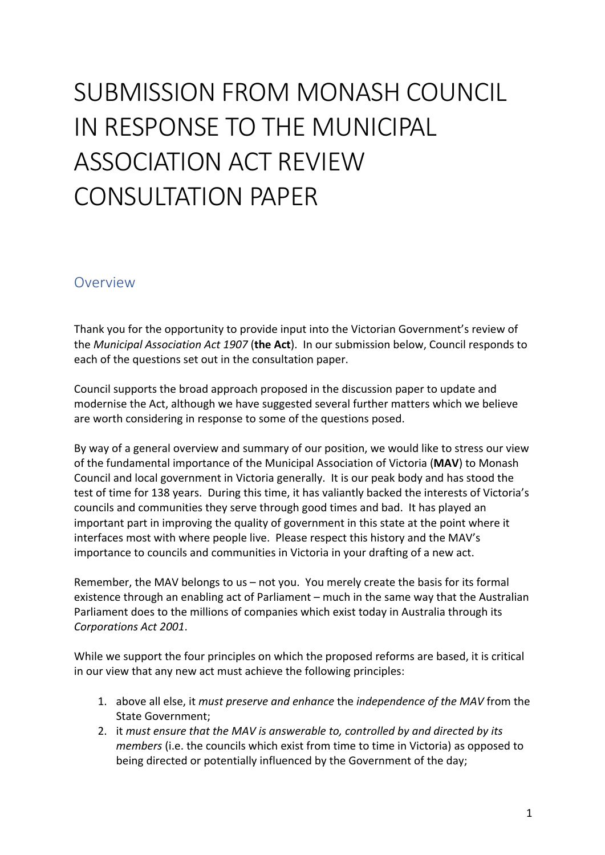# SUBMISSION FROM MONASH COUNCIL IN RESPONSE TO THE MUNICIPAL ASSOCIATION ACT REVIEW CONSULTATION PAPER

# Overview

Thank you for the opportunity to provide input into the Victorian Government's review of the *Municipal Association Act 1907* (the Act). In our submission below, Council responds to each of the questions set out in the consultation paper.

Council supports the broad approach proposed in the discussion paper to update and modernise the Act, although we have suggested several further matters which we believe are worth considering in response to some of the questions posed.

By way of a general overview and summary of our position, we would like to stress our view of the fundamental importance of the Municipal Association of Victoria (MAV) to Monash Council and local government in Victoria generally. It is our peak body and has stood the test of time for 138 years. During this time, it has valiantly backed the interests of Victoria's councils and communities they serve through good times and bad. It has played an important part in improving the quality of government in this state at the point where it interfaces most with where people live. Please respect this history and the MAV's importance to councils and communities in Victoria in your drafting of a new act.

Remember, the MAV belongs to us  $-$  not you. You merely create the basis for its formal existence through an enabling act of Parliament – much in the same way that the Australian Parliament does to the millions of companies which exist today in Australia through its *Corporations Act 2001*.

While we support the four principles on which the proposed reforms are based, it is critical in our view that any new act must achieve the following principles:

- 1. above all else, it *must preserve and enhance* the *independence of the MAV* from the State Government;
- 2. it must ensure that the MAV is answerable to, controlled by and directed by its *members* (i.e. the councils which exist from time to time in Victoria) as opposed to being directed or potentially influenced by the Government of the day;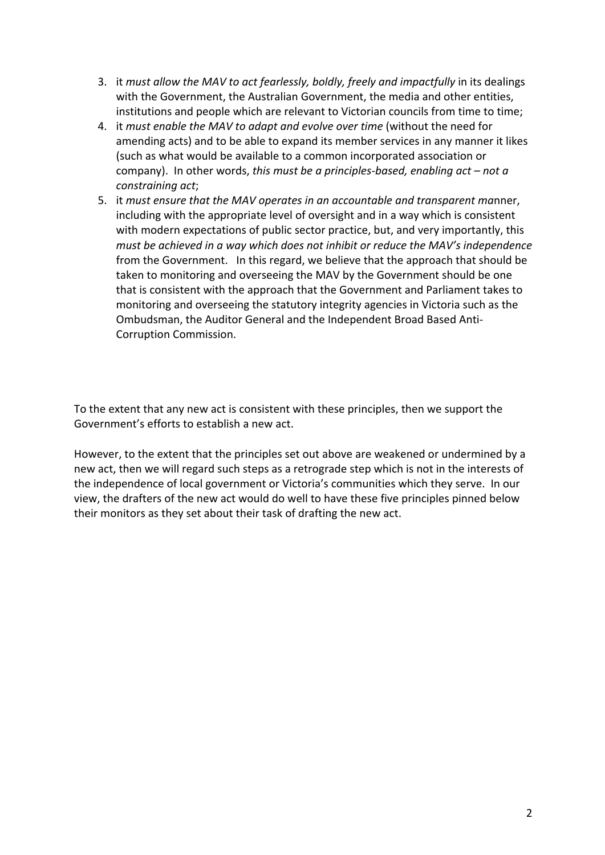- 3. it *must allow the MAV to act fearlessly, boldly, freely and impactfully* in its dealings with the Government, the Australian Government, the media and other entities, institutions and people which are relevant to Victorian councils from time to time;
- 4. it must enable the MAV to adapt and evolve over time (without the need for amending acts) and to be able to expand its member services in any manner it likes (such as what would be available to a common incorporated association or company). In other words, this must be a principles-based, enabling act – not a *constraining act*;
- 5. it *must ensure that the MAV operates in an accountable and transparent manner*, including with the appropriate level of oversight and in a way which is consistent with modern expectations of public sector practice, but, and very importantly, this *must be achieved in a way which does not inhibit or reduce the MAV's independence* from the Government. In this regard, we believe that the approach that should be taken to monitoring and overseeing the MAV by the Government should be one that is consistent with the approach that the Government and Parliament takes to monitoring and overseeing the statutory integrity agencies in Victoria such as the Ombudsman, the Auditor General and the Independent Broad Based Anti-Corruption Commission.

To the extent that any new act is consistent with these principles, then we support the Government's efforts to establish a new act.

However, to the extent that the principles set out above are weakened or undermined by a new act, then we will regard such steps as a retrograde step which is not in the interests of the independence of local government or Victoria's communities which they serve. In our view, the drafters of the new act would do well to have these five principles pinned below their monitors as they set about their task of drafting the new act.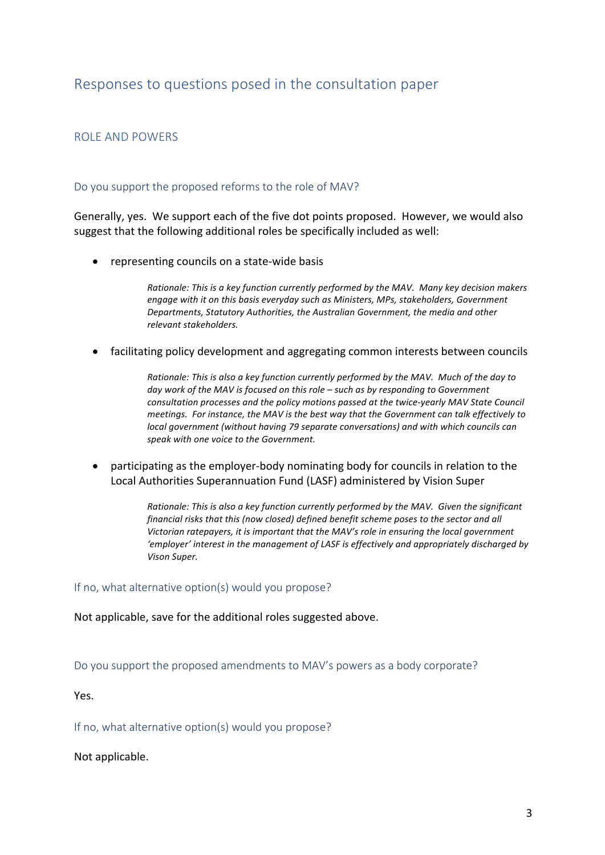# Responses to questions posed in the consultation paper

# ROLE AND POWERS

## Do you support the proposed reforms to the role of MAV?

Generally, yes. We support each of the five dot points proposed. However, we would also suggest that the following additional roles be specifically included as well:

• representing councils on a state-wide basis

*Rationale: This is a key function currently performed by the MAV. Many key decision makers* engage with it on this basis everyday such as Ministers, MPs, stakeholders, Government Departments, Statutory Authorities, the Australian Government, the media and other *relevant stakeholders.*

facilitating policy development and aggregating common interests between councils

*Rationale: This is also a key function currently performed by the MAV. Much of the day to* day work of the MAV is focused on this role – such as by responding to Government consultation processes and the policy motions passed at the twice-yearly MAV State Council meetings. For instance, the MAV is the best way that the Government can talk effectively to *local government* (without having 79 separate conversations) and with which councils can speak with one voice to the Government.

participating as the employer-body nominating body for councils in relation to the Local Authorities Superannuation Fund (LASF) administered by Vision Super

> *Rationale: This is also a key function currently performed by the MAV. Given the significant financial risks that this (now closed)* defined benefit scheme poses to the sector and all *Victorian ratepayers, it is important that the MAV's role in ensuring the local government* 'employer' interest in the management of LASF is effectively and appropriately discharged by *Vison Super.*

If no, what alternative option(s) would you propose?

Not applicable, save for the additional roles suggested above.

Do you support the proposed amendments to MAV's powers as a body corporate?

Yes.

If no, what alternative option(s) would you propose?

Not applicable.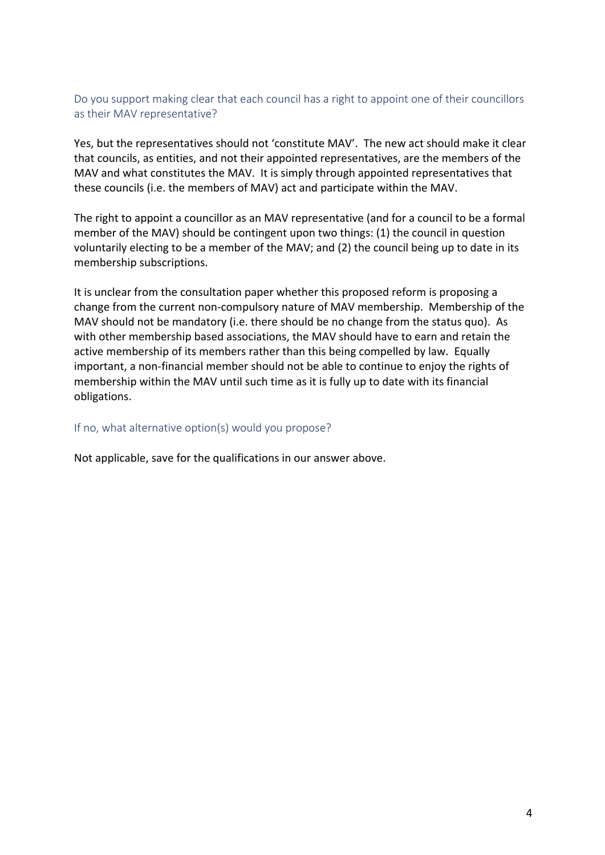# Do you support making clear that each council has a right to appoint one of their councillors as their MAV representative?

Yes, but the representatives should not 'constitute MAV'. The new act should make it clear that councils, as entities, and not their appointed representatives, are the members of the MAV and what constitutes the MAV. It is simply through appointed representatives that these councils (i.e. the members of MAV) act and participate within the MAV.

The right to appoint a councillor as an MAV representative (and for a council to be a formal member of the MAV) should be contingent upon two things:  $(1)$  the council in question voluntarily electing to be a member of the MAV; and (2) the council being up to date in its membership subscriptions.

It is unclear from the consultation paper whether this proposed reform is proposing a change from the current non-compulsory nature of MAV membership. Membership of the MAV should not be mandatory (i.e. there should be no change from the status quo). As with other membership based associations, the MAV should have to earn and retain the active membership of its members rather than this being compelled by law. Equally important, a non-financial member should not be able to continue to enjoy the rights of membership within the MAV until such time as it is fully up to date with its financial obligations.

## If no, what alternative option(s) would you propose?

Not applicable, save for the qualifications in our answer above.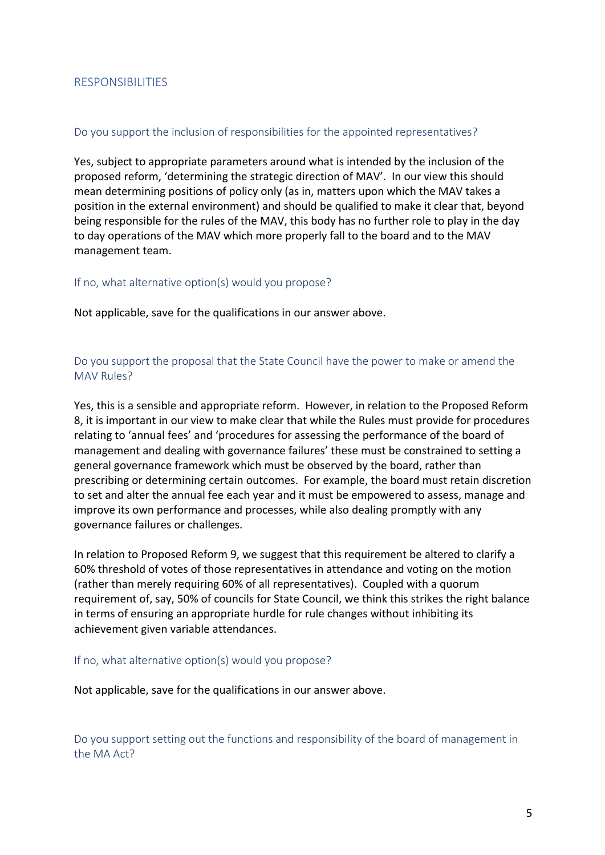# RESPONSIBILITIES

## Do you support the inclusion of responsibilities for the appointed representatives?

Yes, subject to appropriate parameters around what is intended by the inclusion of the proposed reform, 'determining the strategic direction of MAV'. In our view this should mean determining positions of policy only (as in, matters upon which the MAV takes a position in the external environment) and should be qualified to make it clear that, beyond being responsible for the rules of the MAV, this body has no further role to play in the day to day operations of the MAV which more properly fall to the board and to the MAV management team.

## If no, what alternative option(s) would you propose?

Not applicable, save for the qualifications in our answer above.

# Do you support the proposal that the State Council have the power to make or amend the MAV Rules?

Yes, this is a sensible and appropriate reform. However, in relation to the Proposed Reform 8, it is important in our view to make clear that while the Rules must provide for procedures relating to 'annual fees' and 'procedures for assessing the performance of the board of management and dealing with governance failures' these must be constrained to setting a general governance framework which must be observed by the board, rather than prescribing or determining certain outcomes. For example, the board must retain discretion to set and alter the annual fee each vear and it must be empowered to assess, manage and improve its own performance and processes, while also dealing promptly with any governance failures or challenges.

In relation to Proposed Reform 9, we suggest that this requirement be altered to clarify a 60% threshold of votes of those representatives in attendance and voting on the motion (rather than merely requiring 60% of all representatives). Coupled with a quorum requirement of, say, 50% of councils for State Council, we think this strikes the right balance in terms of ensuring an appropriate hurdle for rule changes without inhibiting its achievement given variable attendances.

#### If no, what alternative option(s) would you propose?

Not applicable, save for the qualifications in our answer above.

Do you support setting out the functions and responsibility of the board of management in the MA Act?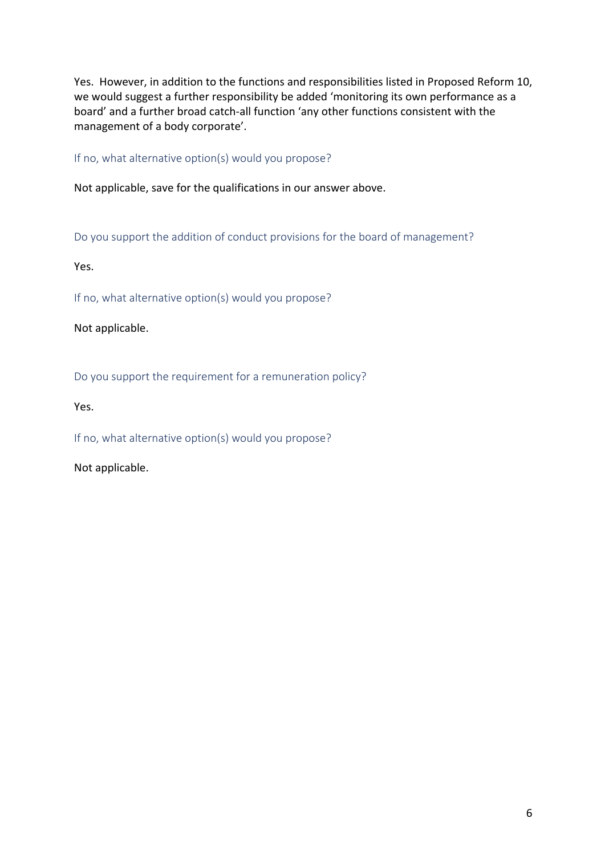Yes. However, in addition to the functions and responsibilities listed in Proposed Reform 10, we would suggest a further responsibility be added 'monitoring its own performance as a board' and a further broad catch-all function 'any other functions consistent with the management of a body corporate'.

If no, what alternative option(s) would you propose?

Not applicable, save for the qualifications in our answer above.

Do you support the addition of conduct provisions for the board of management?

Yes.

If no, what alternative option(s) would you propose?

Not applicable.

Do you support the requirement for a remuneration policy?

Yes.

If no, what alternative option(s) would you propose?

Not applicable.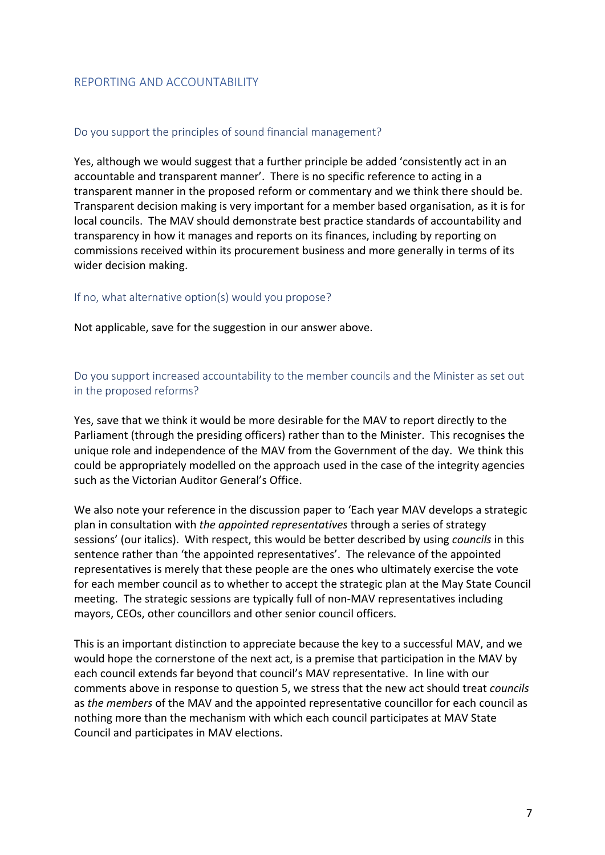# REPORTING AND ACCOUNTABILITY

## Do you support the principles of sound financial management?

Yes, although we would suggest that a further principle be added 'consistently act in an accountable and transparent manner'. There is no specific reference to acting in a transparent manner in the proposed reform or commentary and we think there should be. Transparent decision making is very important for a member based organisation, as it is for local councils. The MAV should demonstrate best practice standards of accountability and transparency in how it manages and reports on its finances, including by reporting on commissions received within its procurement business and more generally in terms of its wider decision making.

## If no, what alternative option(s) would you propose?

Not applicable, save for the suggestion in our answer above.

# Do you support increased accountability to the member councils and the Minister as set out in the proposed reforms?

Yes, save that we think it would be more desirable for the MAV to report directly to the Parliament (through the presiding officers) rather than to the Minister. This recognises the unique role and independence of the MAV from the Government of the day. We think this could be appropriately modelled on the approach used in the case of the integrity agencies such as the Victorian Auditor General's Office.

We also note your reference in the discussion paper to 'Each year MAV develops a strategic plan in consultation with the appointed representatives through a series of strategy sessions' (our italics). With respect, this would be better described by using *councils* in this sentence rather than 'the appointed representatives'. The relevance of the appointed representatives is merely that these people are the ones who ultimately exercise the vote for each member council as to whether to accept the strategic plan at the May State Council meeting. The strategic sessions are typically full of non-MAV representatives including mayors, CEOs, other councillors and other senior council officers.

This is an important distinction to appreciate because the key to a successful MAV, and we would hope the cornerstone of the next act, is a premise that participation in the MAV by each council extends far beyond that council's MAV representative. In line with our comments above in response to question 5, we stress that the new act should treat *councils* as *the members* of the MAV and the appointed representative councillor for each council as nothing more than the mechanism with which each council participates at MAV State Council and participates in MAV elections.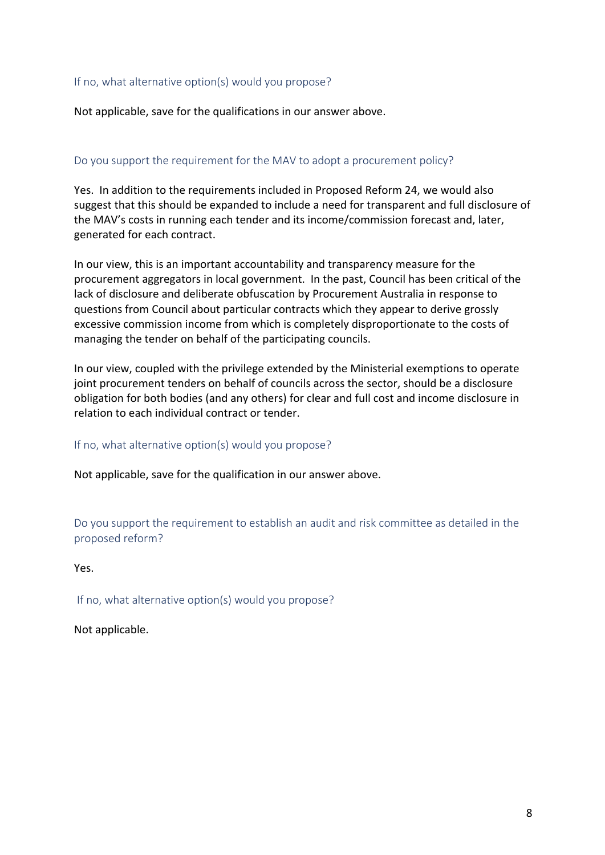## If no, what alternative option(s) would you propose?

Not applicable, save for the qualifications in our answer above.

# Do you support the requirement for the MAV to adopt a procurement policy?

Yes. In addition to the requirements included in Proposed Reform 24, we would also suggest that this should be expanded to include a need for transparent and full disclosure of the MAV's costs in running each tender and its income/commission forecast and, later, generated for each contract.

In our view, this is an important accountability and transparency measure for the procurement aggregators in local government. In the past, Council has been critical of the lack of disclosure and deliberate obfuscation by Procurement Australia in response to questions from Council about particular contracts which they appear to derive grossly excessive commission income from which is completely disproportionate to the costs of managing the tender on behalf of the participating councils.

In our view, coupled with the privilege extended by the Ministerial exemptions to operate joint procurement tenders on behalf of councils across the sector, should be a disclosure obligation for both bodies (and any others) for clear and full cost and income disclosure in relation to each individual contract or tender.

If no, what alternative option(s) would you propose?

Not applicable, save for the qualification in our answer above.

Do you support the requirement to establish an audit and risk committee as detailed in the proposed reform?

Yes.

If no, what alternative option(s) would you propose?

Not applicable.